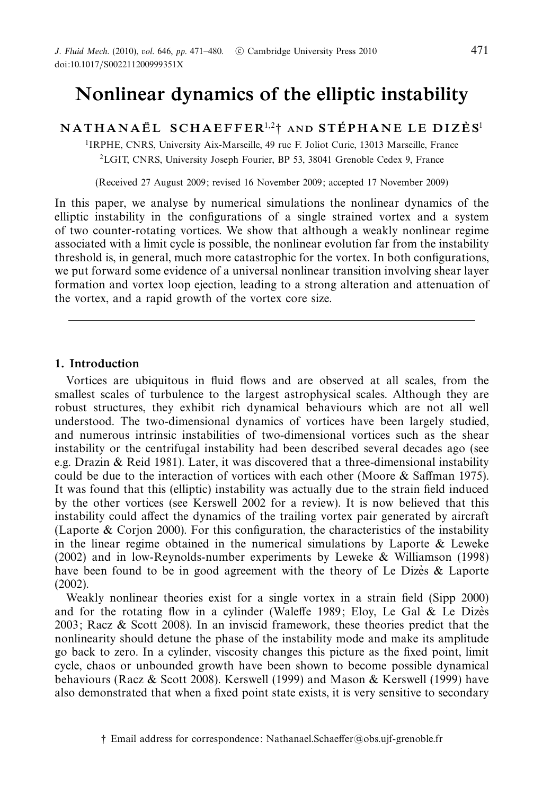# Nonlinear dynamics of the elliptic instability

NATHANAËL SCHAEFFER $^{1,2}$ † and stéphane le dizès<sup>1</sup>

1IRPHE, CNRS, University Aix-Marseille, 49 rue F. Joliot Curie, 13013 Marseille, France 2LGIT, CNRS, University Joseph Fourier, BP 53, 38041 Grenoble Cedex 9, France

(Received 27 August 2009; revised 16 November 2009; accepted 17 November 2009)

In this paper, we analyse by numerical simulations the nonlinear dynamics of the elliptic instability in the configurations of a single strained vortex and a system of two counter-rotating vortices. We show that although a weakly nonlinear regime associated with a limit cycle is possible, the nonlinear evolution far from the instability threshold is, in general, much more catastrophic for the vortex. In both configurations, we put forward some evidence of a universal nonlinear transition involving shear layer formation and vortex loop ejection, leading to a strong alteration and attenuation of the vortex, and a rapid growth of the vortex core size.

# 1. Introduction

Vortices are ubiquitous in fluid flows and are observed at all scales, from the smallest scales of turbulence to the largest astrophysical scales. Although they are robust structures, they exhibit rich dynamical behaviours which are not all well understood. The two-dimensional dynamics of vortices have been largely studied, and numerous intrinsic instabilities of two-dimensional vortices such as the shear instability or the centrifugal instability had been described several decades ago (see e.g. Drazin & Reid 1981). Later, it was discovered that a three-dimensional instability could be due to the interaction of vortices with each other (Moore & Saffman 1975). It was found that this (elliptic) instability was actually due to the strain field induced by the other vortices (see Kerswell 2002 for a review). It is now believed that this instability could affect the dynamics of the trailing vortex pair generated by aircraft (Laporte  $\&$  Corion 2000). For this configuration, the characteristics of the instability in the linear regime obtained in the numerical simulations by Laporte  $\&$  Leweke (2002) and in low-Reynolds-number experiments by Leweke & Williamson (1998) have been found to be in good agreement with the theory of Le Dizes  $\&$  Laporte (2002).

Weakly nonlinear theories exist for a single vortex in a strain field (Sipp 2000) and for the rotating flow in a cylinder (Waleffe 1989; Eloy, Le Gal & Le Dizes 2003; Racz & Scott 2008). In an inviscid framework, these theories predict that the nonlinearity should detune the phase of the instability mode and make its amplitude go back to zero. In a cylinder, viscosity changes this picture as the fixed point, limit cycle, chaos or unbounded growth have been shown to become possible dynamical behaviours (Racz & Scott 2008). Kerswell (1999) and Mason & Kerswell (1999) have also demonstrated that when a fixed point state exists, it is very sensitive to secondary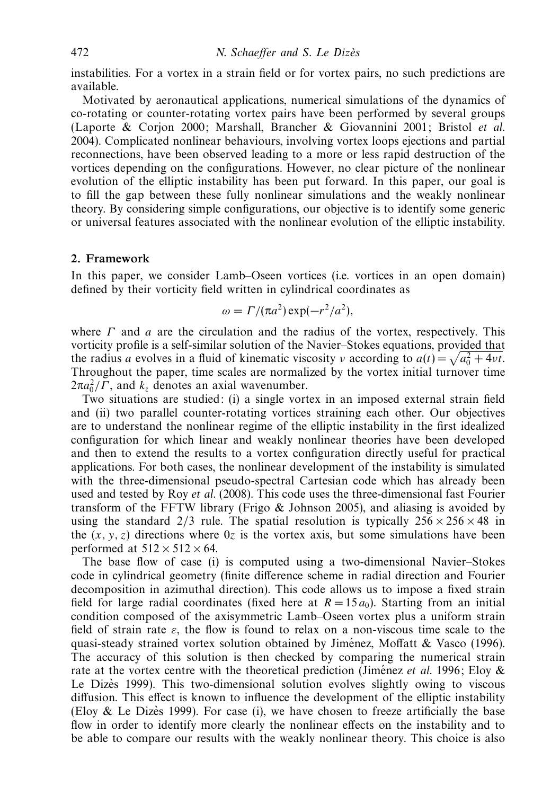instabilities. For a vortex in a strain field or for vortex pairs, no such predictions are available.

Motivated by aeronautical applications, numerical simulations of the dynamics of co-rotating or counter-rotating vortex pairs have been performed by several groups (Laporte & Corjon 2000; Marshall, Brancher & Giovannini 2001; Bristol et al. 2004). Complicated nonlinear behaviours, involving vortex loops ejections and partial reconnections, have been observed leading to a more or less rapid destruction of the vortices depending on the configurations. However, no clear picture of the nonlinear evolution of the elliptic instability has been put forward. In this paper, our goal is to fill the gap between these fully nonlinear simulations and the weakly nonlinear theory. By considering simple configurations, our objective is to identify some generic or universal features associated with the nonlinear evolution of the elliptic instability.

#### 2. Framework

In this paper, we consider Lamb–Oseen vortices (i.e. vortices in an open domain) defined by their vorticity field written in cylindrical coordinates as

$$
\omega = \Gamma / (\pi a^2) \exp(-r^2/a^2),
$$

where  $\Gamma$  and  $\alpha$  are the circulation and the radius of the vortex, respectively. This vorticity profile is a self-similar solution of the Navier–Stokes equations, provided that the radius a evolves in a fluid of kinematic viscosity v according to  $a(t) = \sqrt{a_0^2 + 4vt}$ . Throughout the paper, time scales are normalized by the vortex initial turnover time  $2\pi a_0^2/\Gamma$ , and  $k_z$  denotes an axial wavenumber.

Two situations are studied: (i) a single vortex in an imposed external strain field and (ii) two parallel counter-rotating vortices straining each other. Our objectives are to understand the nonlinear regime of the elliptic instability in the first idealized configuration for which linear and weakly nonlinear theories have been developed and then to extend the results to a vortex configuration directly useful for practical applications. For both cases, the nonlinear development of the instability is simulated with the three-dimensional pseudo-spectral Cartesian code which has already been used and tested by Roy *et al.* (2008). This code uses the three-dimensional fast Fourier transform of the FFTW library (Frigo  $&$  Johnson 2005), and aliasing is avoided by using the standard 2/3 rule. The spatial resolution is typically  $256 \times 256 \times 48$  in the  $(x, y, z)$  directions where  $0z$  is the vortex axis, but some simulations have been performed at  $512 \times 512 \times 64$ .

The base flow of case (i) is computed using a two-dimensional Navier–Stokes code in cylindrical geometry (finite difference scheme in radial direction and Fourier decomposition in azimuthal direction). This code allows us to impose a fixed strain field for large radial coordinates (fixed here at  $R = 15 a<sub>0</sub>$ ). Starting from an initial condition composed of the axisymmetric Lamb–Oseen vortex plus a uniform strain field of strain rate  $\varepsilon$ , the flow is found to relax on a non-viscous time scale to the quasi-steady strained vortex solution obtained by Jiménez, Moffatt  $\&$  Vasco (1996). The accuracy of this solution is then checked by comparing the numerical strain rate at the vortex centre with the theoretical prediction (Jiménez *et al.* 1996; Eloy  $\&$ Le Dizes 1999). This two-dimensional solution evolves slightly owing to viscous diffusion. This effect is known to influence the development of the elliptic instability (Eloy & Le Dizes 1999). For case (i), we have chosen to freeze artificially the base flow in order to identify more clearly the nonlinear effects on the instability and to be able to compare our results with the weakly nonlinear theory. This choice is also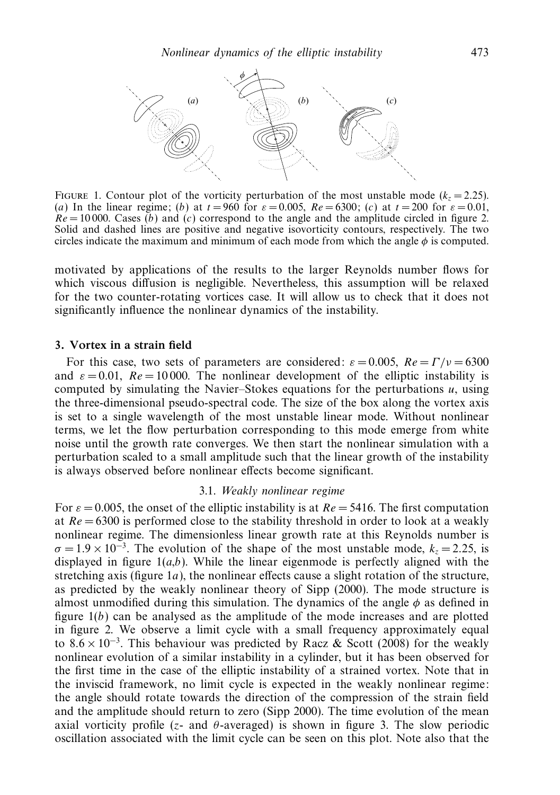

FIGURE 1. Contour plot of the vorticity perturbation of the most unstable mode ( $k<sub>z</sub> = 2.25$ ). (a) In the linear regime; (b) at  $t = 960$  for  $\varepsilon = 0.005$ ,  $Re = 6300$ ; (c) at  $t = 200$  for  $\varepsilon = 0.01$ ,  $Re = 10000$ . Cases (b) and (c) correspond to the angle and the amplitude circled in figure 2. Solid and dashed lines are positive and negative isovorticity contours, respectively. The two circles indicate the maximum and minimum of each mode from which the angle  $\phi$  is computed.

motivated by applications of the results to the larger Reynolds number flows for which viscous diffusion is negligible. Nevertheless, this assumption will be relaxed for the two counter-rotating vortices case. It will allow us to check that it does not significantly influence the nonlinear dynamics of the instability.

# 3. Vortex in a strain field

For this case, two sets of parameters are considered:  $\varepsilon = 0.005$ ,  $Re = \Gamma/v = 6300$ and  $\varepsilon = 0.01$ ,  $Re = 10000$ . The nonlinear development of the elliptic instability is computed by simulating the Navier–Stokes equations for the perturbations  $u$ , using the three-dimensional pseudo-spectral code. The size of the box along the vortex axis is set to a single wavelength of the most unstable linear mode. Without nonlinear terms, we let the flow perturbation corresponding to this mode emerge from white noise until the growth rate converges. We then start the nonlinear simulation with a perturbation scaled to a small amplitude such that the linear growth of the instability is always observed before nonlinear effects become significant.

#### 3.1. Weakly nonlinear regime

For  $\varepsilon = 0.005$ , the onset of the elliptic instability is at  $Re = 5416$ . The first computation at  $Re = 6300$  is performed close to the stability threshold in order to look at a weakly nonlinear regime. The dimensionless linear growth rate at this Reynolds number is  $\sigma = 1.9 \times 10^{-3}$ . The evolution of the shape of the most unstable mode,  $k_z = 2.25$ , is displayed in figure  $1(a,b)$ . While the linear eigenmode is perfectly aligned with the stretching axis (figure  $1a$ ), the nonlinear effects cause a slight rotation of the structure, as predicted by the weakly nonlinear theory of Sipp (2000). The mode structure is almost unmodified during this simulation. The dynamics of the angle  $\phi$  as defined in figure  $1(b)$  can be analysed as the amplitude of the mode increases and are plotted in figure 2. We observe a limit cycle with a small frequency approximately equal to  $8.6 \times 10^{-3}$ . This behaviour was predicted by Racz & Scott (2008) for the weakly nonlinear evolution of a similar instability in a cylinder, but it has been observed for the first time in the case of the elliptic instability of a strained vortex. Note that in the inviscid framework, no limit cycle is expected in the weakly nonlinear regime: the angle should rotate towards the direction of the compression of the strain field and the amplitude should return to zero (Sipp 2000). The time evolution of the mean axial vorticity profile (z- and  $\theta$ -averaged) is shown in figure 3. The slow periodic oscillation associated with the limit cycle can be seen on this plot. Note also that the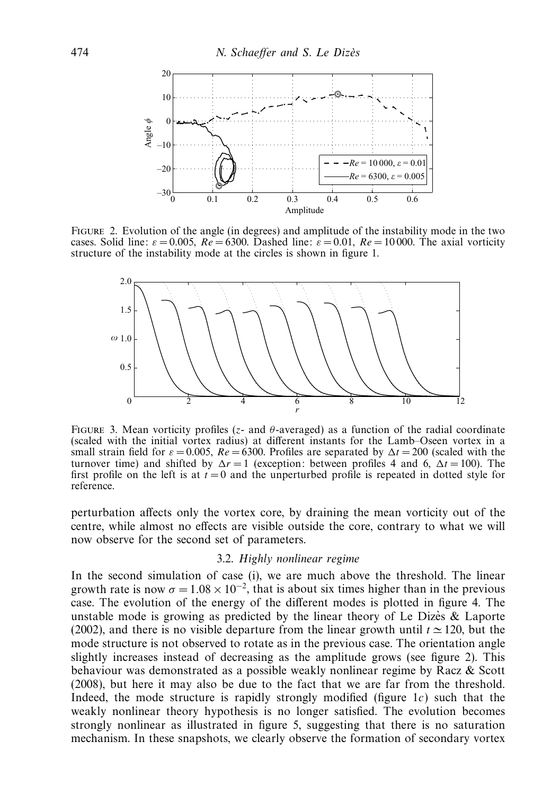

Figure 2. Evolution of the angle (in degrees) and amplitude of the instability mode in the two cases. Solid line:  $\varepsilon = 0.005$ ,  $Re = 6300$ . Dashed line:  $\varepsilon = 0.01$ ,  $Re = 10000$ . The axial vorticity structure of the instability mode at the circles is shown in figure 1.



FIGURE 3. Mean vorticity profiles ( $z$ - and  $\theta$ -averaged) as a function of the radial coordinate (scaled with the initial vortex radius) at different instants for the Lamb–Oseen vortex in a small strain field for  $\varepsilon = 0.005$ ,  $Re = 6300$ . Profiles are separated by  $\Delta t = 200$  (scaled with the turnover time) and shifted by  $\Delta r = 1$  (exception: between profiles 4 and 6,  $\Delta t = 100$ ). The first profile on the left is at  $t = 0$  and the unperturbed profile is repeated in dotted style for reference.

perturbation affects only the vortex core, by draining the mean vorticity out of the centre, while almost no effects are visible outside the core, contrary to what we will now observe for the second set of parameters.

#### 3.2. Highly nonlinear regime

In the second simulation of case (i), we are much above the threshold. The linear growth rate is now  $\sigma = 1.08 \times 10^{-2}$ , that is about six times higher than in the previous case. The evolution of the energy of the different modes is plotted in figure 4. The unstable mode is growing as predicted by the linear theory of Le Dizes  $\&$  Laporte (2002), and there is no visible departure from the linear growth until  $t \approx 120$ , but the mode structure is not observed to rotate as in the previous case. The orientation angle slightly increases instead of decreasing as the amplitude grows (see figure 2). This behaviour was demonstrated as a possible weakly nonlinear regime by Racz & Scott (2008), but here it may also be due to the fact that we are far from the threshold. Indeed, the mode structure is rapidly strongly modified (figure 1c) such that the weakly nonlinear theory hypothesis is no longer satisfied. The evolution becomes strongly nonlinear as illustrated in figure 5, suggesting that there is no saturation mechanism. In these snapshots, we clearly observe the formation of secondary vortex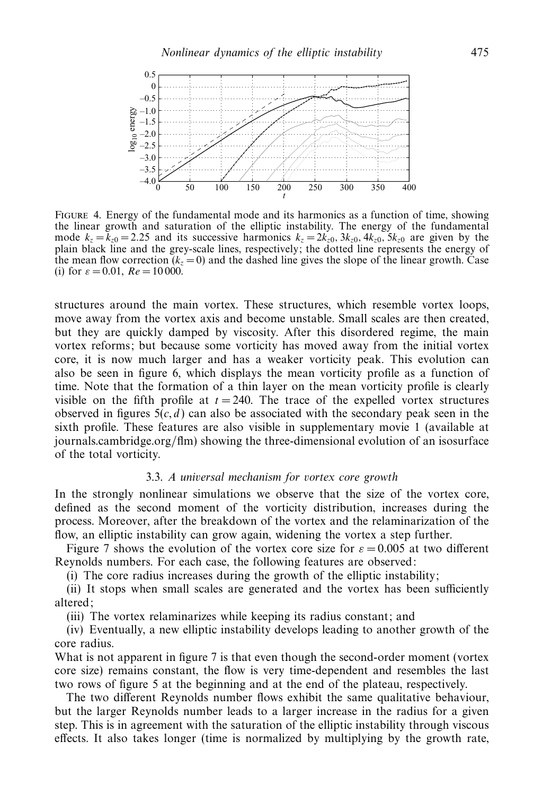

FIGURE 4. Energy of the fundamental mode and its harmonics as a function of time, showing the linear growth and saturation of the elliptic instability. The energy of the fundamental mode  $k_z = \bar{k}_{z0} = 2.25$  and its successive harmonics  $k_z = 2k_{z0}$ ,  $3k_{z0}$ ,  $4k_{z0}$ ,  $5k_{z0}$  are given by the plain black line and the grey-scale lines, respectively; the dotted line represents the energy of the mean flow correction  $(k_z = 0)$  and the dashed line gives the slope of the linear growth. Case (i) for  $\varepsilon = 0.01$ ,  $Re = 10000$ .

structures around the main vortex. These structures, which resemble vortex loops, move away from the vortex axis and become unstable. Small scales are then created, but they are quickly damped by viscosity. After this disordered regime, the main vortex reforms; but because some vorticity has moved away from the initial vortex core, it is now much larger and has a weaker vorticity peak. This evolution can also be seen in figure 6, which displays the mean vorticity profile as a function of time. Note that the formation of a thin layer on the mean vorticity profile is clearly visible on the fifth profile at  $t = 240$ . The trace of the expelled vortex structures observed in figures  $5(c, d)$  can also be associated with the secondary peak seen in the sixth profile. These features are also visible in supplementary movie 1 (available at journals.cambridge.org/flm) showing the three-dimensional evolution of an isosurface of the total vorticity.

# 3.3. A universal mechanism for vortex core growth

In the strongly nonlinear simulations we observe that the size of the vortex core, defined as the second moment of the vorticity distribution, increases during the process. Moreover, after the breakdown of the vortex and the relaminarization of the flow, an elliptic instability can grow again, widening the vortex a step further.

Figure 7 shows the evolution of the vortex core size for  $\varepsilon = 0.005$  at two different Reynolds numbers. For each case, the following features are observed:

(i) The core radius increases during the growth of the elliptic instability;

(ii) It stops when small scales are generated and the vortex has been sufficiently altered;

(iii) The vortex relaminarizes while keeping its radius constant; and

(iv) Eventually, a new elliptic instability develops leading to another growth of the core radius.

What is not apparent in figure 7 is that even though the second-order moment (vortex core size) remains constant, the flow is very time-dependent and resembles the last two rows of figure 5 at the beginning and at the end of the plateau, respectively.

The two different Reynolds number flows exhibit the same qualitative behaviour, but the larger Reynolds number leads to a larger increase in the radius for a given step. This is in agreement with the saturation of the elliptic instability through viscous effects. It also takes longer (time is normalized by multiplying by the growth rate,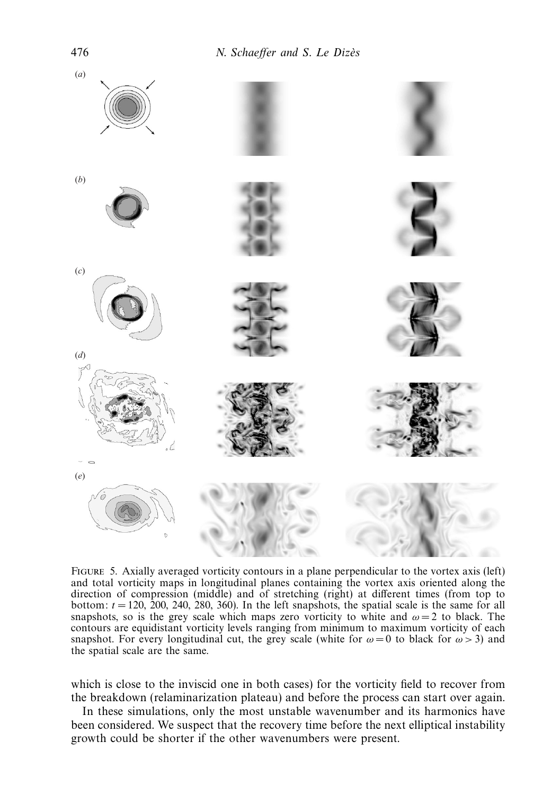

Figure 5. Axially averaged vorticity contours in a plane perpendicular to the vortex axis (left) and total vorticity maps in longitudinal planes containing the vortex axis oriented along the direction of compression (middle) and of stretching (right) at different times (from top to bottom:  $t = 120, 200, 240, 280, 360$ . In the left snapshots, the spatial scale is the same for all snapshots, so is the grey scale which maps zero vorticity to white and  $\omega = 2$  to black. The contours are equidistant vorticity levels ranging from minimum to maximum vorticity of each snapshot. For every longitudinal cut, the grey scale (white for  $\omega = 0$  to black for  $\omega > 3$ ) and the spatial scale are the same.

which is close to the inviscid one in both cases) for the vorticity field to recover from the breakdown (relaminarization plateau) and before the process can start over again.

In these simulations, only the most unstable wavenumber and its harmonics have been considered. We suspect that the recovery time before the next elliptical instability growth could be shorter if the other wavenumbers were present.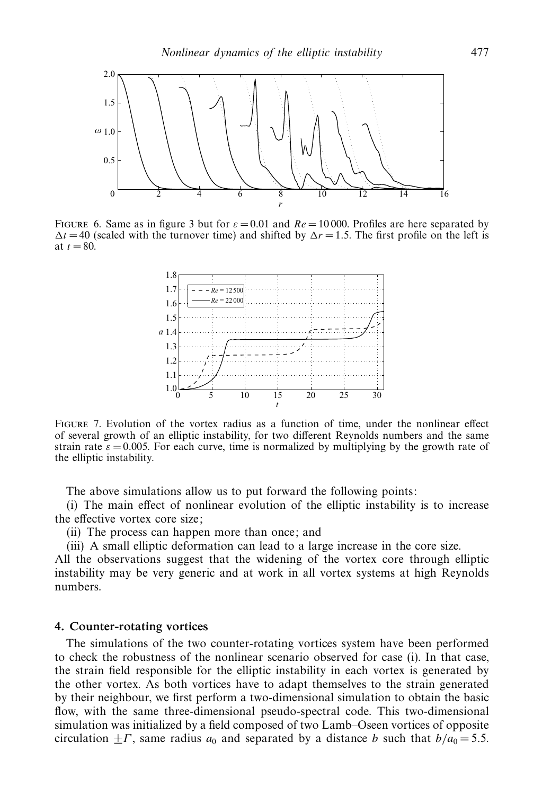

FIGURE 6. Same as in figure 3 but for  $\varepsilon = 0.01$  and  $Re = 10000$ . Profiles are here separated by  $\Delta t = 40$  (scaled with the turnover time) and shifted by  $\Delta r = 1.5$ . The first profile on the left is at  $t = 80$ .



Figure 7. Evolution of the vortex radius as a function of time, under the nonlinear effect of several growth of an elliptic instability, for two different Reynolds numbers and the same strain rate  $\varepsilon = 0.005$ . For each curve, time is normalized by multiplying by the growth rate of the elliptic instability.

The above simulations allow us to put forward the following points:

(i) The main effect of nonlinear evolution of the elliptic instability is to increase the effective vortex core size;

(ii) The process can happen more than once; and

(iii) A small elliptic deformation can lead to a large increase in the core size.

All the observations suggest that the widening of the vortex core through elliptic instability may be very generic and at work in all vortex systems at high Reynolds numbers.

# 4. Counter-rotating vortices

The simulations of the two counter-rotating vortices system have been performed to check the robustness of the nonlinear scenario observed for case (i). In that case, the strain field responsible for the elliptic instability in each vortex is generated by the other vortex. As both vortices have to adapt themselves to the strain generated by their neighbour, we first perform a two-dimensional simulation to obtain the basic flow, with the same three-dimensional pseudo-spectral code. This two-dimensional simulation was initialized by a field composed of two Lamb–Oseen vortices of opposite circulation  $\pm\Gamma$ , same radius  $a_0$  and separated by a distance b such that  $b/a_0 = 5.5$ .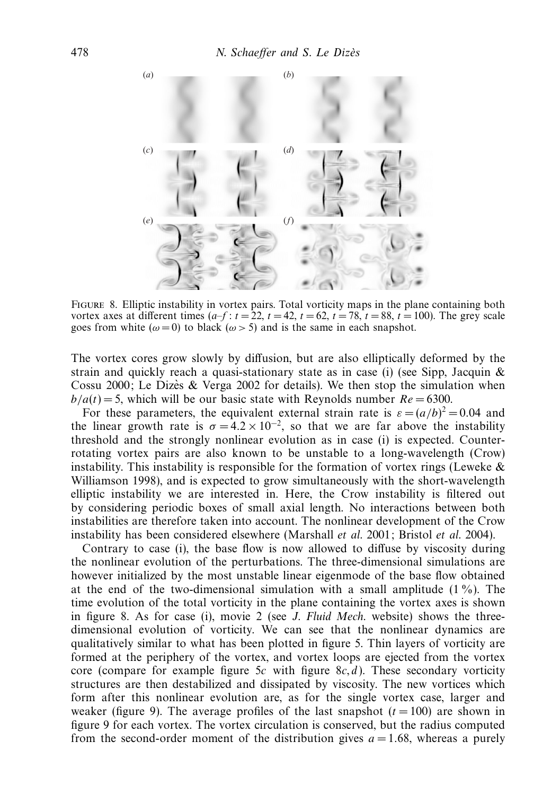

Figure 8. Elliptic instability in vortex pairs. Total vorticity maps in the plane containing both vortex axes at different times  $(a-f : t = 22, t = 42, t = 62, t = 78, t = 88, t = 100)$ . The grey scale goes from white ( $\omega = 0$ ) to black ( $\omega > 5$ ) and is the same in each snapshot.

The vortex cores grow slowly by diffusion, but are also elliptically deformed by the strain and quickly reach a quasi-stationary state as in case (i) (see Sipp, Jacquin  $\&$ Cossu 2000; Le Dizès & Verga 2002 for details). We then stop the simulation when  $b/a(t) = 5$ , which will be our basic state with Reynolds number  $Re = 6300$ .

For these parameters, the equivalent external strain rate is  $\varepsilon = (a/b)^2 = 0.04$  and the linear growth rate is  $\sigma = 4.2 \times 10^{-2}$ , so that we are far above the instability threshold and the strongly nonlinear evolution as in case (i) is expected. Counterrotating vortex pairs are also known to be unstable to a long-wavelength (Crow) instability. This instability is responsible for the formation of vortex rings (Leweke  $\&$ Williamson 1998), and is expected to grow simultaneously with the short-wavelength elliptic instability we are interested in. Here, the Crow instability is filtered out by considering periodic boxes of small axial length. No interactions between both instabilities are therefore taken into account. The nonlinear development of the Crow instability has been considered elsewhere (Marshall et al. 2001; Bristol et al. 2004).

Contrary to case (i), the base flow is now allowed to diffuse by viscosity during the nonlinear evolution of the perturbations. The three-dimensional simulations are however initialized by the most unstable linear eigenmode of the base flow obtained at the end of the two-dimensional simulation with a small amplitude (1 %). The time evolution of the total vorticity in the plane containing the vortex axes is shown in figure 8. As for case (i), movie 2 (see J. Fluid Mech. website) shows the threedimensional evolution of vorticity. We can see that the nonlinear dynamics are qualitatively similar to what has been plotted in figure 5. Thin layers of vorticity are formed at the periphery of the vortex, and vortex loops are ejected from the vortex core (compare for example figure 5c with figure  $8c, d$ ). These secondary vorticity structures are then destabilized and dissipated by viscosity. The new vortices which form after this nonlinear evolution are, as for the single vortex case, larger and weaker (figure 9). The average profiles of the last snapshot  $(t = 100)$  are shown in figure 9 for each vortex. The vortex circulation is conserved, but the radius computed from the second-order moment of the distribution gives  $a = 1.68$ , whereas a purely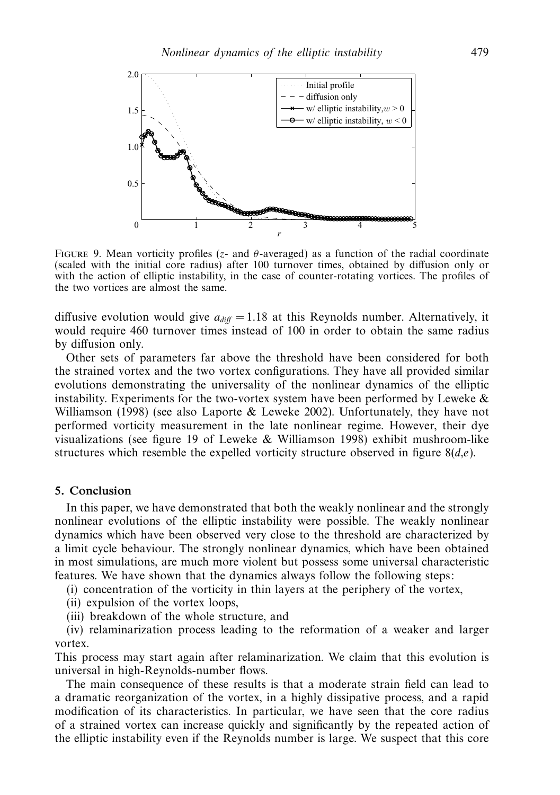

FIGURE 9. Mean vorticity profiles (z- and  $\theta$ -averaged) as a function of the radial coordinate (scaled with the initial core radius) after 100 turnover times, obtained by diffusion only or with the action of elliptic instability, in the case of counter-rotating vortices. The profiles of the two vortices are almost the same.

diffusive evolution would give  $a_{diff} = 1.18$  at this Reynolds number. Alternatively, it would require 460 turnover times instead of 100 in order to obtain the same radius by diffusion only.

Other sets of parameters far above the threshold have been considered for both the strained vortex and the two vortex configurations. They have all provided similar evolutions demonstrating the universality of the nonlinear dynamics of the elliptic instability. Experiments for the two-vortex system have been performed by Leweke  $\&$ Williamson (1998) (see also Laporte & Leweke 2002). Unfortunately, they have not performed vorticity measurement in the late nonlinear regime. However, their dye visualizations (see figure 19 of Leweke & Williamson 1998) exhibit mushroom-like structures which resemble the expelled vorticity structure observed in figure  $8(d,e)$ .

## 5. Conclusion

In this paper, we have demonstrated that both the weakly nonlinear and the strongly nonlinear evolutions of the elliptic instability were possible. The weakly nonlinear dynamics which have been observed very close to the threshold are characterized by a limit cycle behaviour. The strongly nonlinear dynamics, which have been obtained in most simulations, are much more violent but possess some universal characteristic features. We have shown that the dynamics always follow the following steps:

(i) concentration of the vorticity in thin layers at the periphery of the vortex,

(ii) expulsion of the vortex loops,

(iii) breakdown of the whole structure, and

(iv) relaminarization process leading to the reformation of a weaker and larger vortex.

This process may start again after relaminarization. We claim that this evolution is universal in high-Reynolds-number flows.

The main consequence of these results is that a moderate strain field can lead to a dramatic reorganization of the vortex, in a highly dissipative process, and a rapid modification of its characteristics. In particular, we have seen that the core radius of a strained vortex can increase quickly and significantly by the repeated action of the elliptic instability even if the Reynolds number is large. We suspect that this core